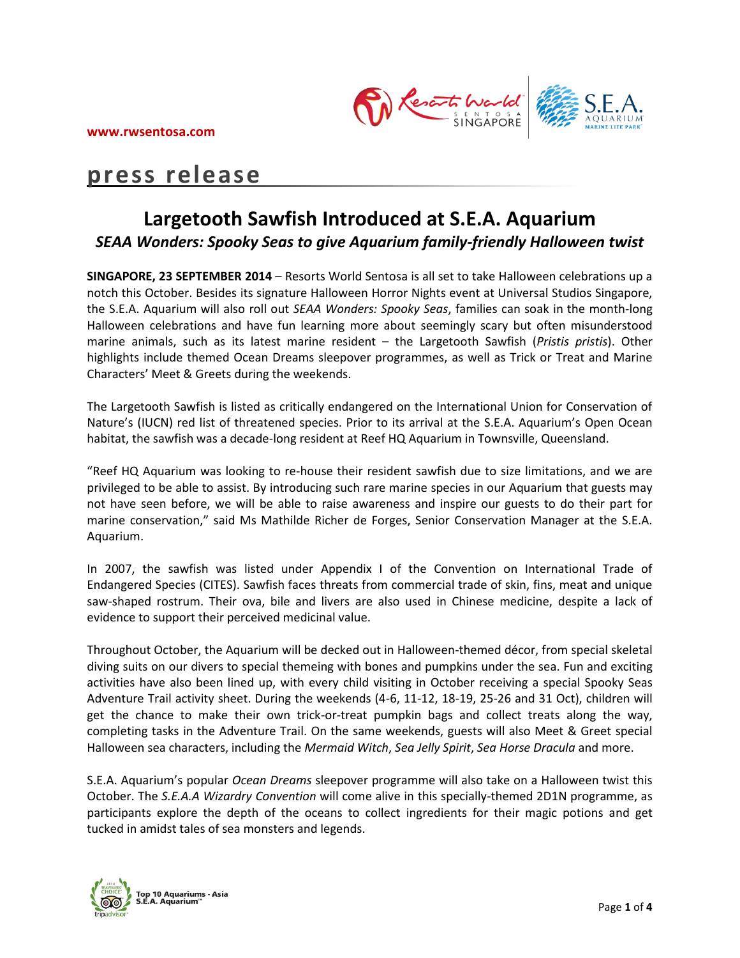

## **press release**

### **Largetooth Sawfish Introduced at S.E.A. Aquarium** *SEAA Wonders: Spooky Seas to give Aquarium family-friendly Halloween twist*

**SINGAPORE, 23 SEPTEMBER 2014** – Resorts World Sentosa is all set to take Halloween celebrations up a notch this October. Besides its signature Halloween Horror Nights event at Universal Studios Singapore, the S.E.A. Aquarium will also roll out *SEAA Wonders: Spooky Seas*, families can soak in the month-long Halloween celebrations and have fun learning more about seemingly scary but often misunderstood marine animals, such as its latest marine resident – the Largetooth Sawfish (*Pristis pristis*). Other highlights include themed Ocean Dreams sleepover programmes, as well as Trick or Treat and Marine Characters' Meet & Greets during the weekends.

The Largetooth Sawfish is listed as critically endangered on the International Union for Conservation of Nature's (IUCN) red list of threatened species. Prior to its arrival at the S.E.A. Aquarium's Open Ocean habitat, the sawfish was a decade-long resident at Reef HQ Aquarium in Townsville, Queensland.

"Reef HQ Aquarium was looking to re-house their resident sawfish due to size limitations, and we are privileged to be able to assist. By introducing such rare marine species in our Aquarium that guests may not have seen before, we will be able to raise awareness and inspire our guests to do their part for marine conservation," said Ms Mathilde Richer de Forges, Senior Conservation Manager at the S.E.A. Aquarium.

In 2007, the sawfish was listed under Appendix I of the Convention on International Trade of Endangered Species (CITES). Sawfish faces threats from commercial trade of skin, fins, meat and unique saw-shaped rostrum. Their ova, bile and livers are also used in Chinese medicine, despite a lack of evidence to support their perceived medicinal value.

Throughout October, the Aquarium will be decked out in Halloween-themed décor, from special skeletal diving suits on our divers to special themeing with bones and pumpkins under the sea. Fun and exciting activities have also been lined up, with every child visiting in October receiving a special Spooky Seas Adventure Trail activity sheet. During the weekends (4-6, 11-12, 18-19, 25-26 and 31 Oct), children will get the chance to make their own trick-or-treat pumpkin bags and collect treats along the way, completing tasks in the Adventure Trail. On the same weekends, guests will also Meet & Greet special Halloween sea characters, including the *Mermaid Witch*, *Sea Jelly Spirit*, *Sea Horse Dracula* and more.

S.E.A. Aquarium's popular *Ocean Dreams* sleepover programme will also take on a Halloween twist this October. The *S.E.A.A Wizardry Convention* will come alive in this specially-themed 2D1N programme, as participants explore the depth of the oceans to collect ingredients for their magic potions and get tucked in amidst tales of sea monsters and legends.

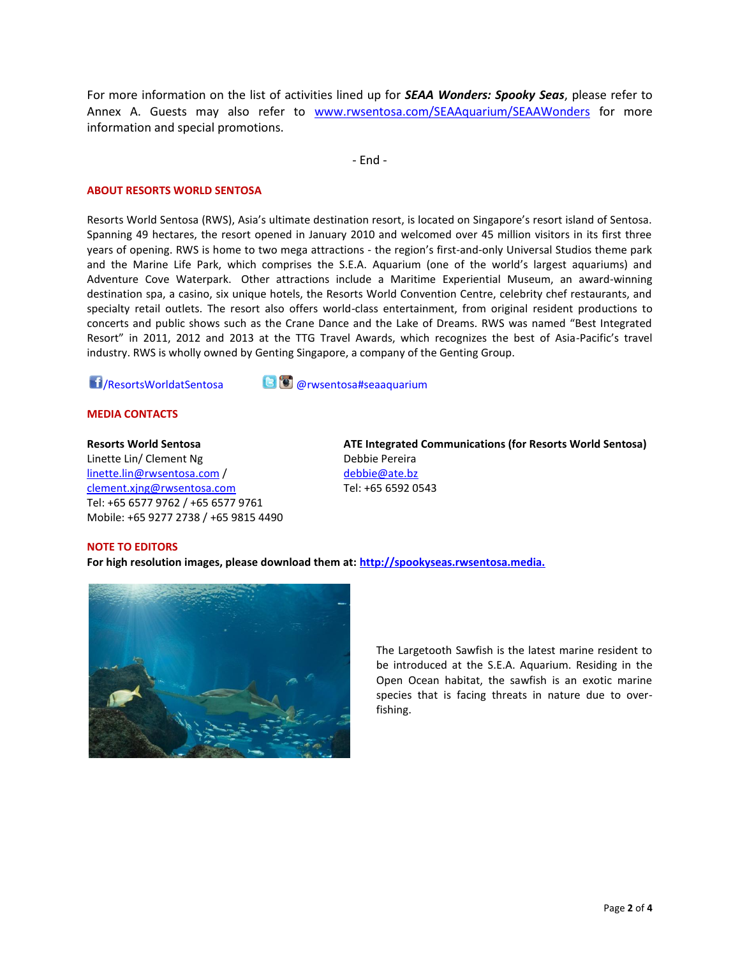For more information on the list of activities lined up for *SEAA Wonders: Spooky Seas*, please refer to Annex A. Guests may also refer to [www.rwsentosa.com/SEAAquarium/SEAAWonders](http://www.rwsentosa.com/SEAAquarium/SEAAWonders) for more information and special promotions.

- End -

#### **ABOUT RESORTS WORLD SENTOSA**

Resorts World Sentosa (RWS), Asia's ultimate destination resort, is located on Singapore's resort island of Sentosa. Spanning 49 hectares, the resort opened in January 2010 and welcomed over 45 million visitors in its first three years of opening. RWS is home to two mega attractions - the region's first-and-only Universal Studios theme park and the Marine Life Park, which comprises the S.E.A. Aquarium (one of the world's largest aquariums) and Adventure Cove Waterpark. Other attractions include a Maritime Experiential Museum, an award-winning destination spa, a casino, six unique hotels, the Resorts World Convention Centre, celebrity chef restaurants, and specialty retail outlets. The resort also offers world-class entertainment, from original resident productions to concerts and public shows such as the Crane Dance and the Lake of Dreams. RWS was named "Best Integrated Resort" in 2011, 2012 and 2013 at the TTG Travel Awards, which recognizes the best of Asia-Pacific's travel industry. RWS is wholly owned by Genting Singapore, a company of the Genting Group.

/ResortsWorldatSentosa @rwsentosa#seaaquarium

#### **MEDIA CONTACTS**

#### **Resorts World Sentosa**

Linette Lin/ Clement Ng linette.lin@rwsentosa.com / [clement.xjng@rwsentosa.com](mailto:clement.xjng@rwsentosa.com) Tel: +65 6577 9762 / +65 6577 9761 Mobile: +65 9277 2738 / +65 9815 4490 **ATE Integrated Communications (for Resorts World Sentosa)** Debbie Pereira [debbie@ate.bz](mailto:debbie@ate.bz) Tel: +65 6592 0543

#### **NOTE TO EDITORS**

**For high resolution images, please download them at: [http://spookyseas.rwsentosa.media.](http://spookyseas.rwsentosa.media./)**



The Largetooth Sawfish is the latest marine resident to be introduced at the S.E.A. Aquarium. Residing in the Open Ocean habitat, the sawfish is an exotic marine species that is facing threats in nature due to overfishing.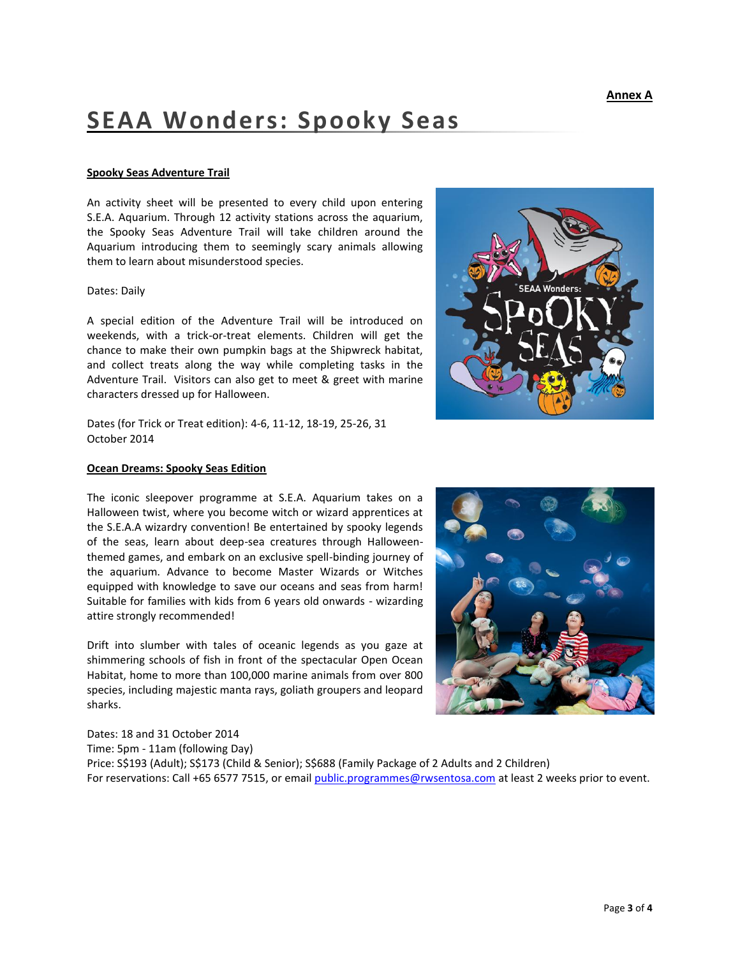# **SEAA Wonders: Spooky Seas**

#### **Spooky Seas Adventure Trail**

An activity sheet will be presented to every child upon entering S.E.A. Aquarium. Through 12 activity stations across the aquarium, the Spooky Seas Adventure Trail will take children around the Aquarium introducing them to seemingly scary animals allowing them to learn about misunderstood species.

#### Dates: Daily

A special edition of the Adventure Trail will be introduced on weekends, with a trick-or-treat elements. Children will get the chance to make their own pumpkin bags at the Shipwreck habitat, and collect treats along the way while completing tasks in the Adventure Trail. Visitors can also get to meet & greet with marine characters dressed up for Halloween.

Dates (for Trick or Treat edition): 4-6, 11-12, 18-19, 25-26, 31 October 2014

#### **Ocean Dreams: Spooky Seas Edition**

The iconic sleepover programme at S.E.A. Aquarium takes on a Halloween twist, where you become witch or wizard apprentices at the S.E.A.A wizardry convention! Be entertained by spooky legends of the seas, learn about deep-sea creatures through Halloweenthemed games, and embark on an exclusive spell-binding journey of the aquarium. Advance to become Master Wizards or Witches equipped with knowledge to save our oceans and seas from harm! Suitable for families with kids from 6 years old onwards - wizarding attire strongly recommended!

Drift into slumber with tales of oceanic legends as you gaze at shimmering schools of fish in front of the spectacular Open Ocean Habitat, home to more than 100,000 marine animals from over 800 species, including majestic manta rays, goliath groupers and leopard sharks.

Dates: 18 and 31 October 2014 Time: 5pm - 11am (following Day) Price: S\$193 (Adult); S\$173 (Child & Senior); S\$688 (Family Package of 2 Adults and 2 Children) For reservations: Call +65 6577 7515, or emai[l public.programmes@rwsentosa.com](mailto:public.programmes@rwsentosa.com) at least 2 weeks prior to event.